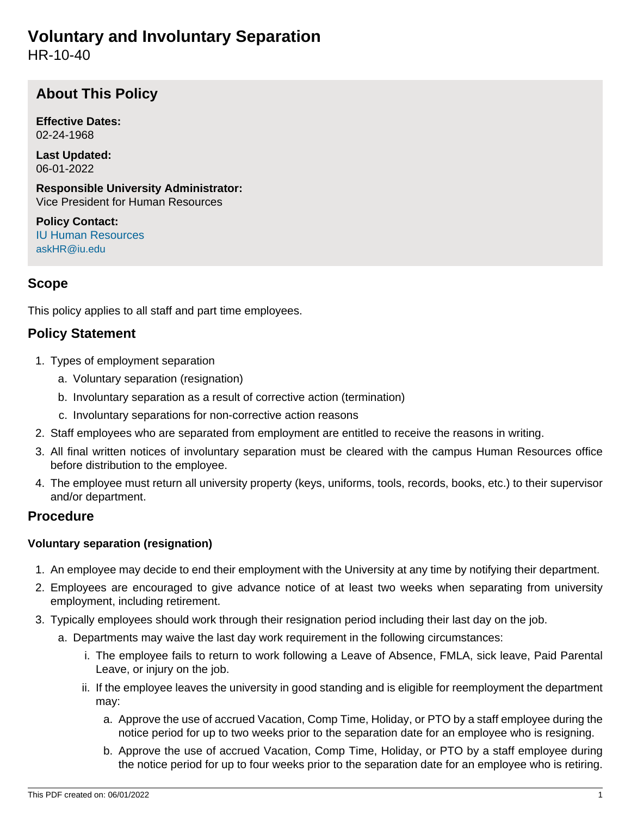# **Voluntary and Involuntary Separation**

HR-10-40

# **About This Policy**

**Effective Dates:** 02-24-1968

**Last Updated:** 06-01-2022

**Responsible University Administrator:** Vice President for Human Resources

**Policy Contact:** [IU Human Resources](http://hr.iu.edu/welcome/contact.htm) [askHR@iu.edu](mailto:askHR@iu.edu)

# **Scope**

This policy applies to all staff and part time employees.

## **Policy Statement**

- 1. Types of employment separation
	- a. Voluntary separation (resignation)
	- b. Involuntary separation as a result of corrective action (termination)
	- c. Involuntary separations for non-corrective action reasons
- 2. Staff employees who are separated from employment are entitled to receive the reasons in writing.
- 3. All final written notices of involuntary separation must be cleared with the campus Human Resources office before distribution to the employee.
- 4. The employee must return all university property (keys, uniforms, tools, records, books, etc.) to their supervisor and/or department.

### **Procedure**

#### **Voluntary separation (resignation)**

- 1. An employee may decide to end their employment with the University at any time by notifying their department.
- 2. Employees are encouraged to give advance notice of at least two weeks when separating from university employment, including retirement.
- 3. Typically employees should work through their resignation period including their last day on the job.
	- a. Departments may waive the last day work requirement in the following circumstances:
		- i. The employee fails to return to work following a Leave of Absence, FMLA, sick leave, Paid Parental Leave, or injury on the job.
		- ii. If the employee leaves the university in good standing and is eligible for reemployment the department may:
			- a. Approve the use of accrued Vacation, Comp Time, Holiday, or PTO by a staff employee during the notice period for up to two weeks prior to the separation date for an employee who is resigning.
			- b. Approve the use of accrued Vacation, Comp Time, Holiday, or PTO by a staff employee during the notice period for up to four weeks prior to the separation date for an employee who is retiring.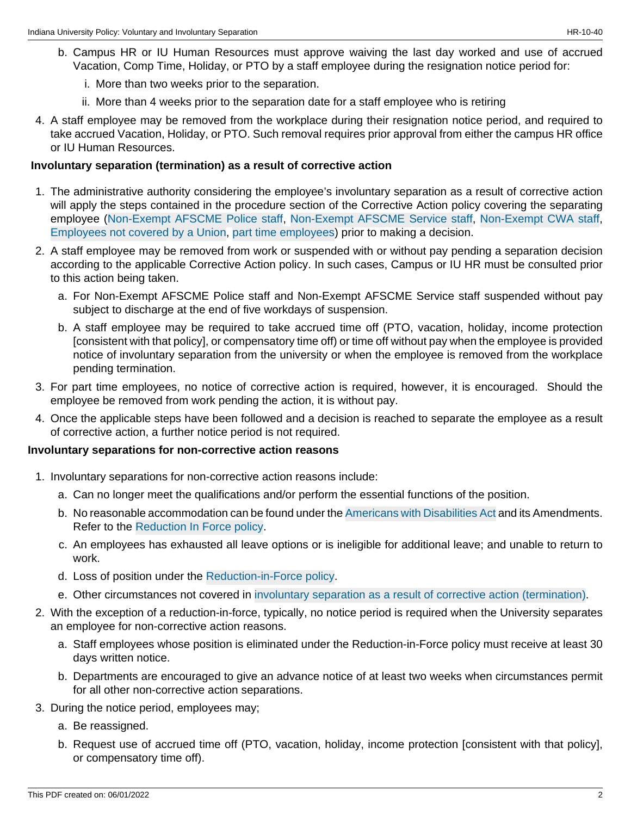- b. Campus HR or IU Human Resources must approve waiving the last day worked and use of accrued Vacation, Comp Time, Holiday, or PTO by a staff employee during the resignation notice period for:
	- i. More than two weeks prior to the separation.
	- ii. More than 4 weeks prior to the separation date for a staff employee who is retiring
- 4. A staff employee may be removed from the workplace during their resignation notice period, and required to take accrued Vacation, Holiday, or PTO. Such removal requires prior approval from either the campus HR office or IU Human Resources.

#### <span id="page-1-0"></span>**Involuntary separation (termination) as a result of corrective action**

- 1. The administrative authority considering the employee's involuntary separation as a result of corrective action will apply the steps contained in the procedure section of the Corrective Action policy covering the separating employee ([Non-Exempt AFSCME Police staff,](/policies/hr-08-20-corrective-action-police-service-staff/index.html) [Non-Exempt AFSCME Service staff,](/policies/hr-08-30-corrective-action-service-staff/index.html) [Non-Exempt CWA staff,](/policies/hr-08-50-corrective-action-support-staff/index-archive-1.3.2022.html) [Employees not covered by a Union,](/policies/hr-08-40-corrective-action-not-union/index.html) [part time employees\)](https://policies.iu.edu/policies/hr-08-60-corrective-action-temporary-employees/index.html) prior to making a decision.
- 2. A staff employee may be removed from work or suspended with or without pay pending a separation decision according to the applicable Corrective Action policy. In such cases, Campus or IU HR must be consulted prior to this action being taken.
	- a. For Non-Exempt AFSCME Police staff and Non-Exempt AFSCME Service staff suspended without pay subject to discharge at the end of five workdays of suspension.
	- b. A staff employee may be required to take accrued time off (PTO, vacation, holiday, income protection [consistent with that policy], or compensatory time off) or time off without pay when the employee is provided notice of involuntary separation from the university or when the employee is removed from the workplace pending termination.
- 3. For part time employees, no notice of corrective action is required, however, it is encouraged. Should the employee be removed from work pending the action, it is without pay.
- 4. Once the applicable steps have been followed and a decision is reached to separate the employee as a result of corrective action, a further notice period is not required.

#### **Involuntary separations for non-corrective action reasons**

- 1. Involuntary separations for non-corrective action reasons include:
	- a. Can no longer meet the qualifications and/or perform the essential functions of the position.
	- b. No reasonable accommodation can be found under the [Americans with Disabilities Act](http://www.ada.gov) and its Amendments. Refer to the [Reduction In Force policy.](/policies/hr-10-20-reduction-force/index-archive-1.3.2022.html)
	- c. An employees has exhausted all leave options or is ineligible for additional leave; and unable to return to work.
	- d. Loss of position under the [Reduction-in-Force policy.](/policies/hr-10-20-reduction-force/index-archive-1.3.2022.html)
	- e. Other circumstances not covered in [involuntary separation as a result of corrective action \(termination\).](#page-1-0)
- 2. With the exception of a reduction-in-force, typically, no notice period is required when the University separates an employee for non-corrective action reasons.
	- a. Staff employees whose position is eliminated under the Reduction-in-Force policy must receive at least 30 days written notice.
	- b. Departments are encouraged to give an advance notice of at least two weeks when circumstances permit for all other non-corrective action separations.
- 3. During the notice period, employees may;
	- a. Be reassigned.
	- b. Request use of accrued time off (PTO, vacation, holiday, income protection [consistent with that policy], or compensatory time off).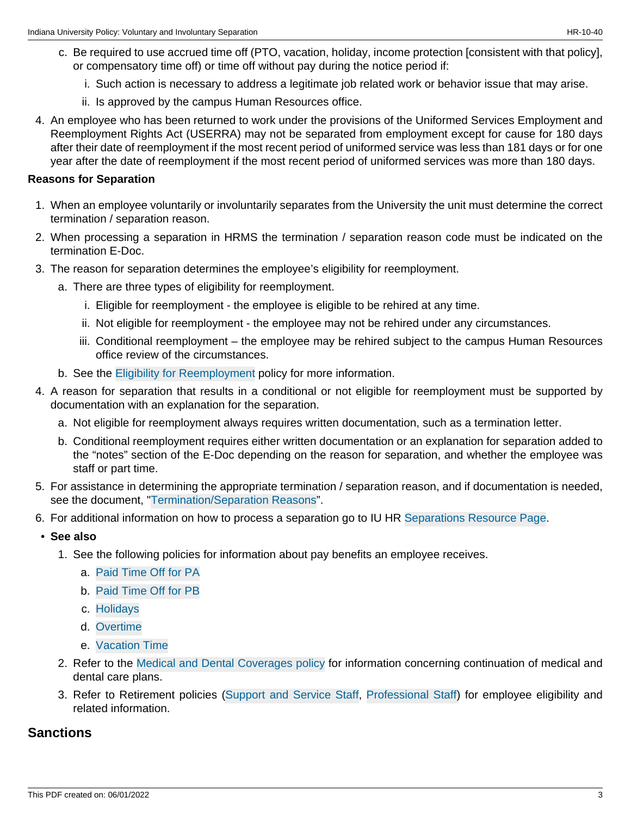- c. Be required to use accrued time off (PTO, vacation, holiday, income protection [consistent with that policy], or compensatory time off) or time off without pay during the notice period if:
	- i. Such action is necessary to address a legitimate job related work or behavior issue that may arise.
	- ii. Is approved by the campus Human Resources office.
- 4. An employee who has been returned to work under the provisions of the Uniformed Services Employment and Reemployment Rights Act (USERRA) may not be separated from employment except for cause for 180 days after their date of reemployment if the most recent period of uniformed service was less than 181 days or for one year after the date of reemployment if the most recent period of uniformed services was more than 180 days.

#### **Reasons for Separation**

- 1. When an employee voluntarily or involuntarily separates from the University the unit must determine the correct termination / separation reason.
- 2. When processing a separation in HRMS the termination / separation reason code must be indicated on the termination E-Doc.
- 3. The reason for separation determines the employee's eligibility for reemployment.
	- a. There are three types of eligibility for reemployment.
		- i. Eligible for reemployment the employee is eligible to be rehired at any time.
		- ii. Not eligible for reemployment the employee may not be rehired under any circumstances.
		- iii. Conditional reemployment the employee may be rehired subject to the campus Human Resources office review of the circumstances.
	- b. See the [Eligibility for Reemployment](/policies/hr-02-20-eligibility-reemployment/index-archive-6.1.2022.html) policy for more information.
- 4. A reason for separation that results in a conditional or not eligible for reemployment must be supported by documentation with an explanation for the separation.
	- a. Not eligible for reemployment always requires written documentation, such as a termination letter.
	- b. Conditional reemployment requires either written documentation or an explanation for separation added to the "notes" section of the E-Doc depending on the reason for separation, and whether the employee was staff or part time.
- 5. For assistance in determining the appropriate termination / separation reason, and if documentation is needed, see the document, ["Termination/Separation Reasons](http://hr.iu.edu/relations/termcodes.html)".
- 6. For additional information on how to process a separation go to IU HR [Separations Resource Page](http://hr.iu.edu/relations/uwide_separations_index.htm).
- **See also**
	- 1. See the following policies for information about pay benefits an employee receives.
		- a. [Paid Time Off for PA](/policies/hr-05-70-pto-paid-time-off-pa/archived-2jan2019.html)
		- b. [Paid Time Off for PB](/policies/hr-05-80-pto-paid-time-off-pb/archived-2jan2019.html)
		- c. [Holidays](/policies/hr-05-30-holidays/archived-06152018.html)
		- d. [Overtime](/policies/hr-06-30-overtime/index-archive-8.26.21.html)
		- e. [Vacation Time](/policies/hr-05-120-vacation-time/index-archive-1.3.2022.html)
	- 2. Refer to the [Medical and Dental Coverages policy](/policies/hr-04-50-medical-dental-coverages/index.html) for information concerning continuation of medical and dental care plans.
	- 3. Refer to Retirement policies ([Support and Service Staff](/policies/hr-04-20-retirement-support-service-staff/index.html), [Professional Staff](/policies/hr-04-10-retirement-professional-staff/index.html)) for employee eligibility and related information.

### **Sanctions**